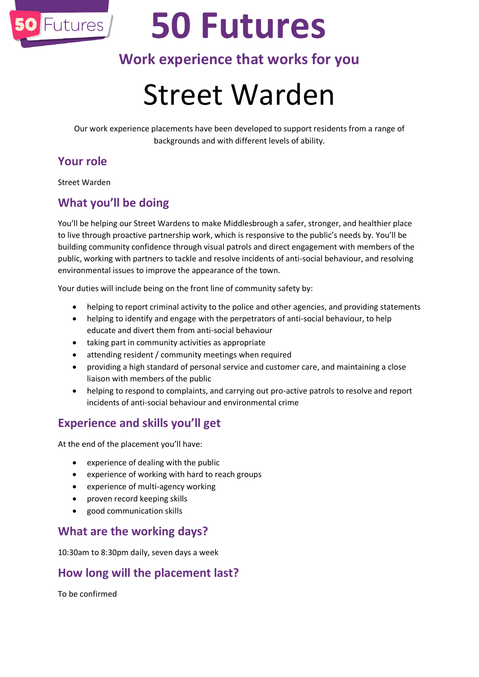

# **50 Futures**

### **Work experience that works for you**

## Street Warden

Our work experience placements have been developed to support residents from a range of backgrounds and with different levels of ability.

#### **Your role**

Street Warden

#### **What you'll be doing**

You'll be helping our Street Wardens to make Middlesbrough a safer, stronger, and healthier place to live through proactive partnership work, which is responsive to the public's needs by. You'll be building community confidence through visual patrols and direct engagement with members of the public, working with partners to tackle and resolve incidents of anti-social behaviour, and resolving environmental issues to improve the appearance of the town.

Your duties will include being on the front line of community safety by:

- helping to report criminal activity to the police and other agencies, and providing statements
- helping to identify and engage with the perpetrators of anti-social behaviour, to help educate and divert them from anti-social behaviour
- taking part in community activities as appropriate
- attending resident / community meetings when required
- providing a high standard of personal service and customer care, and maintaining a close liaison with members of the public
- helping to respond to complaints, and carrying out pro-active patrols to resolve and report incidents of anti-social behaviour and environmental crime

#### **Experience and skills you'll get**

At the end of the placement you'll have:

- experience of dealing with the public
- experience of working with hard to reach groups
- experience of multi-agency working
- proven record keeping skills
- good communication skills

#### **What are the working days?**

10:30am to 8:30pm daily, seven days a week

#### **How long will the placement last?**

To be confirmed